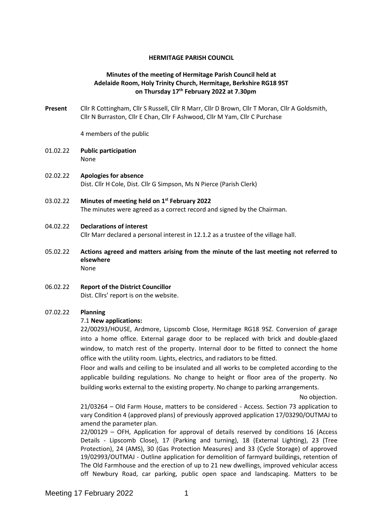### **HERMITAGE PARISH COUNCIL**

## **Minutes of the meeting of Hermitage Parish Council held at Adelaide Room, Holy Trinity Church, Hermitage, Berkshire RG18 9ST on Thursday 17th February 2022 at 7.30pm**

**Present** Cllr R Cottingham, Cllr S Russell, Cllr R Marr, Cllr D Brown, Cllr T Moran, Cllr A Goldsmith, Cllr N Burraston, Cllr E Chan, Cllr F Ashwood, Cllr M Yam, Cllr C Purchase

4 members of the public

- 01.02.22 **Public participation**  None
- 02.02.22 **Apologies for absence** Dist. Cllr H Cole, Dist. Cllr G Simpson, Ms N Pierce (Parish Clerk)
- 03.02.22 **Minutes of meeting held on 1 st February 2022** The minutes were agreed as a correct record and signed by the Chairman.

### 04.02.22 **Declarations of interest**

Cllr Marr declared a personal interest in 12.1.2 as a trustee of the village hall.

- 05.02.22 **Actions agreed and matters arising from the minute of the last meeting not referred to elsewhere** None
- 06.02.22 **Report of the District Councillor** Dist. Cllrs' report is on the website.

### 07.02.22 **Planning**

### 7.1 **New applications:**

22/00293/HOUSE, Ardmore, Lipscomb Close, Hermitage RG18 9SZ. Conversion of garage into a home office. External garage door to be replaced with brick and double-glazed window, to match rest of the property. Internal door to be fitted to connect the home office with the utility room. Lights, electrics, and radiators to be fitted.

Floor and walls and ceiling to be insulated and all works to be completed according to the applicable building regulations. No change to height or floor area of the property. No building works external to the existing property. No change to parking arrangements.

No objection.

21/03264 – Old Farm House, matters to be considered - Access. Section 73 application to vary Condition 4 (approved plans) of previously approved application 17/03290/OUTMAJ to amend the parameter plan.

22/00129 – OFH, Application for approval of details reserved by conditions 16 (Access Details - Lipscomb Close), 17 (Parking and turning), 18 (External Lighting), 23 (Tree Protection), 24 (AMS), 30 (Gas Protection Measures) and 33 (Cycle Storage) of approved 19/02993/OUTMAJ - Outline application for demolition of farmyard buildings, retention of The Old Farmhouse and the erection of up to 21 new dwellings, improved vehicular access off Newbury Road, car parking, public open space and landscaping. Matters to be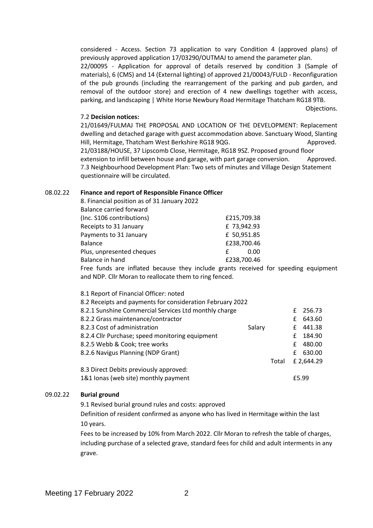considered - Access. Section 73 application to vary Condition 4 (approved plans) of previously approved application 17/03290/OUTMAJ to amend the parameter plan.

22/00095 - Application for approval of details reserved by condition 3 (Sample of materials), 6 (CMS) and 14 (External lighting) of approved 21/00043/FULD - Reconfiguration of the pub grounds (including the rearrangement of the parking and pub garden, and removal of the outdoor store) and erection of 4 new dwellings together with access, parking, and landscaping | White Horse Newbury Road Hermitage Thatcham RG18 9TB.

Objections.

#### 7.2 **Decision notices:**

21/01649/FULMAJ THE PROPOSAL AND LOCATION OF THE DEVELOPMENT: Replacement dwelling and detached garage with guest accommodation above. Sanctuary Wood, Slanting Hill, Hermitage, Thatcham West Berkshire RG18 9QG. Approved. 21/03188/HOUSE, 37 Lipscomb Close, Hermitage, RG18 9SZ. Proposed ground floor extension to infill between house and garage, with part garage conversion. Approved.

7.3 Neighbourhood Development Plan: Two sets of minutes and Village Design Statement questionnaire will be circulated.

#### 08.02.22 **Finance and report of Responsible Finance Officer**

| 8. Financial position as of 31 January 2022 |             |
|---------------------------------------------|-------------|
| <b>Balance carried forward</b>              |             |
| (Inc. S106 contributions)                   | £215,709.38 |
| Receipts to 31 January                      | £73,942.93  |
| Payments to 31 January                      | £ 50,951.85 |
| <b>Balance</b>                              | £238,700.46 |
| Plus, unpresented cheques                   | 0.00        |
| Balance in hand                             | £238,700.46 |
|                                             |             |

Free funds are inflated because they include grants received for speeding equipment and NDP. Cllr Moran to reallocate them to ring fenced.

| 8.1 Report of Financial Officer: noted                    |        |       |    |            |
|-----------------------------------------------------------|--------|-------|----|------------|
| 8.2 Receipts and payments for consideration February 2022 |        |       |    |            |
| 8.2.1 Sunshine Commercial Services Ltd monthly charge     |        |       | £  | 256.73     |
| 8.2.2 Grass maintenance/contractor                        |        |       | f. | 643.60     |
| 8.2.3 Cost of administration                              | Salary |       | £  | 441.38     |
| 8.2.4 Cllr Purchase; speed monitoring equipment           |        |       | £  | 184.90     |
| 8.2.5 Webb & Cook; tree works                             |        |       | £  | 480.00     |
| 8.2.6 Navigus Planning (NDP Grant)                        |        |       | £  | 630.00     |
|                                                           |        | Total |    | £ 2,644.29 |
| 8.3 Direct Debits previously approved:                    |        |       |    |            |
| 1&1 lonas (web site) monthly payment                      |        |       |    | £5.99      |

### 09.02.22 **Burial ground**

9.1 Revised burial ground rules and costs: approved

Definition of resident confirmed as anyone who has lived in Hermitage within the last 10 years.

Fees to be increased by 10% from March 2022. Cllr Moran to refresh the table of charges, including purchase of a selected grave, standard fees for child and adult interments in any grave.